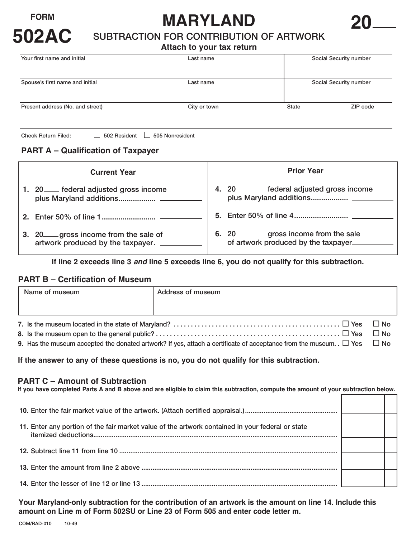

# FORM **MARYLAND**<br>502AC SUBTRACTION FOR CONTRIBUTION OF ARTWORK

#### **Attach to your tax return**

| Your first name and initial      | Last name    |       | Social Security number |  |
|----------------------------------|--------------|-------|------------------------|--|
|                                  |              |       |                        |  |
| Spouse's first name and initial  | Last name    |       | Social Security number |  |
| Present address (No. and street) | City or town | State | ZIP code               |  |
| __                               | $-$          |       |                        |  |

Check Return Filed:  $\Box$  502 Resident  $\Box$  505 Nonresident

### **PART A – Qualification of Taxpayer**

| <b>Current Year</b> |                                                                         | <b>Prior Year</b>                                                       |  |
|---------------------|-------------------------------------------------------------------------|-------------------------------------------------------------------------|--|
|                     | 1. 20 __ federal adjusted gross income                                  | 4. 20 <u>federal</u> adjusted gross income                              |  |
|                     |                                                                         |                                                                         |  |
| 3.                  | 20 gross income from the sale of<br>artwork produced by the taxpayer. _ | 6. 20 gross income from the sale<br>of artwork produced by the taxpayer |  |

**If line 2 exceeds line 3** *and* **line 5 exceeds line 6, you do not qualify for this subtraction.** 

#### **PART B – Certification of Museum**

|  | Name of museum | Address of museum |  |
|--|----------------|-------------------|--|
|  |                |                   |  |
|  |                |                   |  |
|  |                |                   |  |

9. Has the museum accepted the donated artwork? If yes, attach a certificate of acceptance from the museum. .  $\Box$  Yes  $\Box$  No

**If the answer to any of these questions is no, you do not qualify for this subtraction.** 

#### **PART C – Amount of Subtraction**

| If you have completed Parts A and B above and are eligible to claim this subtraction, compute the amount of your subtraction below. |  |  |  |  |
|-------------------------------------------------------------------------------------------------------------------------------------|--|--|--|--|
|                                                                                                                                     |  |  |  |  |
|                                                                                                                                     |  |  |  |  |
| 11. Enter any portion of the fair market value of the artwork contained in your federal or state                                    |  |  |  |  |
|                                                                                                                                     |  |  |  |  |
|                                                                                                                                     |  |  |  |  |
|                                                                                                                                     |  |  |  |  |

**Your Maryland-only subtraction for the contribution of an artwork is the amount on line 14. Include this amount on Line m of Form 502SU or Line 23 of Form 505 and enter code letter m.**